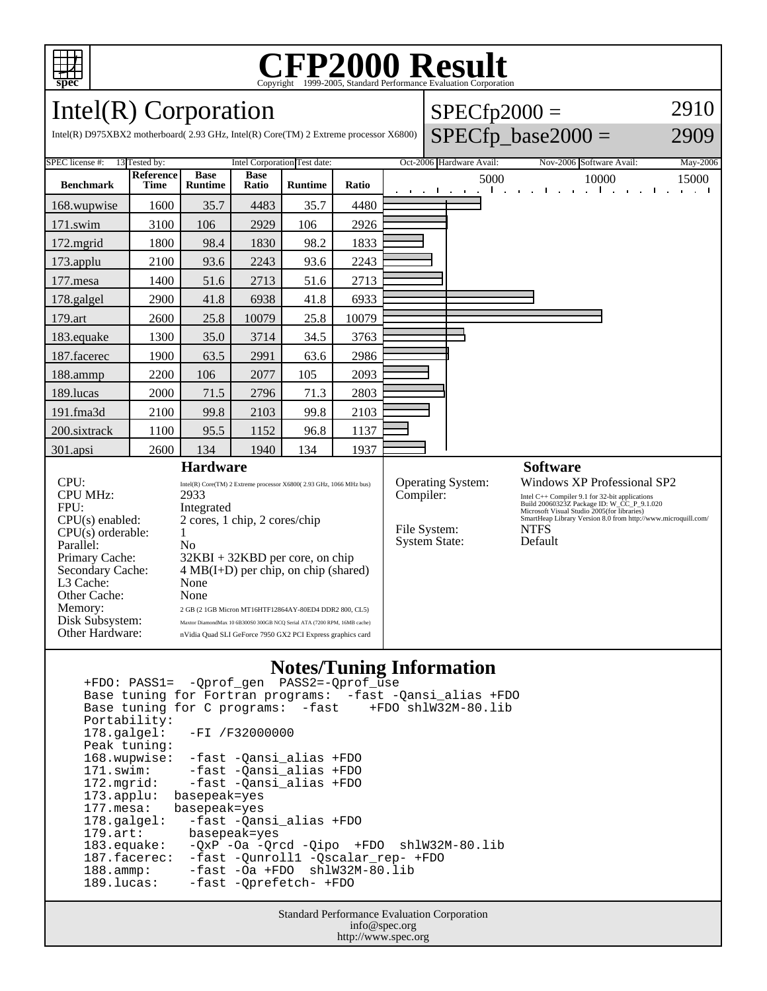

## C<sub>opyright</sub> ©1999-2005, Standard Performance Evaluation Corporation

 $SPECfp2000 =$ 

2910

Intel(R) Corporation

| Intel(R) D975XBX2 motherboard(2.93 GHz, Intel(R) Core(TM) 2 Extreme processor X6800)                             |                                                                                                                                              |                                                                                                                                                                                                                                                                                                 |                      |                |                                                                               |  |                          |                                                                                                                                                                                                                                                                              | $SPECfp\_base2000 =$                                                                     | 2909                                 |
|------------------------------------------------------------------------------------------------------------------|----------------------------------------------------------------------------------------------------------------------------------------------|-------------------------------------------------------------------------------------------------------------------------------------------------------------------------------------------------------------------------------------------------------------------------------------------------|----------------------|----------------|-------------------------------------------------------------------------------|--|--------------------------|------------------------------------------------------------------------------------------------------------------------------------------------------------------------------------------------------------------------------------------------------------------------------|------------------------------------------------------------------------------------------|--------------------------------------|
| <b>SPEC</b> license #:<br>13 Tested by:                                                                          | Intel Corporation Test date:                                                                                                                 |                                                                                                                                                                                                                                                                                                 |                      |                |                                                                               |  | Oct-2006 Hardware Avail: | Nov-2006 Software Avail:                                                                                                                                                                                                                                                     | May-2006                                                                                 |                                      |
| <b>Benchmark</b>                                                                                                 | Reference<br><b>Time</b>                                                                                                                     | <b>Base</b><br><b>Runtime</b>                                                                                                                                                                                                                                                                   | <b>Base</b><br>Ratio | <b>Runtime</b> | Ratio                                                                         |  |                          | 5000<br>$\mathbf{1}$ and $\mathbf{1}$<br>the contract of the contract of                                                                                                                                                                                                     | 10000<br>and the company<br>$\mathbf{u} = \mathbf{u} \cdot \mathbf{u}$ .<br>$\mathbf{I}$ | 15000<br>$\sim$ $-1$<br>$\sim$<br>л. |
| 168.wupwise                                                                                                      | 1600                                                                                                                                         | 35.7                                                                                                                                                                                                                                                                                            | 4483                 | 35.7           | 4480                                                                          |  |                          |                                                                                                                                                                                                                                                                              |                                                                                          |                                      |
| 171.swim                                                                                                         | 3100                                                                                                                                         | 106                                                                                                                                                                                                                                                                                             | 2929                 | 106            | 2926                                                                          |  |                          |                                                                                                                                                                                                                                                                              |                                                                                          |                                      |
| $172$ .mgrid                                                                                                     | 1800                                                                                                                                         | 98.4                                                                                                                                                                                                                                                                                            | 1830                 | 98.2           | 1833                                                                          |  |                          |                                                                                                                                                                                                                                                                              |                                                                                          |                                      |
| 173.applu                                                                                                        | 2100                                                                                                                                         | 93.6                                                                                                                                                                                                                                                                                            | 2243                 | 93.6           | 2243                                                                          |  |                          |                                                                                                                                                                                                                                                                              |                                                                                          |                                      |
| $177$ .mesa                                                                                                      | 1400                                                                                                                                         | 51.6                                                                                                                                                                                                                                                                                            | 2713                 | 51.6           | 2713                                                                          |  |                          |                                                                                                                                                                                                                                                                              |                                                                                          |                                      |
| 178.galgel                                                                                                       | 2900                                                                                                                                         | 41.8                                                                                                                                                                                                                                                                                            | 6938                 | 41.8           | 6933                                                                          |  |                          |                                                                                                                                                                                                                                                                              |                                                                                          |                                      |
| 179.art                                                                                                          | 2600                                                                                                                                         | 25.8                                                                                                                                                                                                                                                                                            | 10079                | 25.8           | 10079                                                                         |  |                          |                                                                                                                                                                                                                                                                              |                                                                                          |                                      |
| 183.equake                                                                                                       | 1300                                                                                                                                         | 35.0                                                                                                                                                                                                                                                                                            | 3714                 | 34.5           | 3763                                                                          |  |                          |                                                                                                                                                                                                                                                                              |                                                                                          |                                      |
| 187.facerec                                                                                                      | 1900                                                                                                                                         | 63.5                                                                                                                                                                                                                                                                                            | 2991                 | 63.6           | 2986                                                                          |  |                          |                                                                                                                                                                                                                                                                              |                                                                                          |                                      |
| 188.ammp                                                                                                         | 2200                                                                                                                                         | 106                                                                                                                                                                                                                                                                                             | 2077                 | 105            | 2093                                                                          |  |                          |                                                                                                                                                                                                                                                                              |                                                                                          |                                      |
| 189.lucas                                                                                                        | 2000                                                                                                                                         | 71.5                                                                                                                                                                                                                                                                                            | 2796                 | 71.3           | 2803                                                                          |  |                          |                                                                                                                                                                                                                                                                              |                                                                                          |                                      |
| 191.fma3d                                                                                                        | 2100                                                                                                                                         | 99.8                                                                                                                                                                                                                                                                                            | 2103                 | 99.8           | 2103                                                                          |  |                          |                                                                                                                                                                                                                                                                              |                                                                                          |                                      |
| 200.sixtrack                                                                                                     | 1100                                                                                                                                         | 95.5                                                                                                                                                                                                                                                                                            | 1152                 | 96.8           | 1137                                                                          |  |                          |                                                                                                                                                                                                                                                                              |                                                                                          |                                      |
| $301$ .apsi                                                                                                      | 2600                                                                                                                                         | 134                                                                                                                                                                                                                                                                                             | 1940                 | 134            | 1937                                                                          |  |                          |                                                                                                                                                                                                                                                                              |                                                                                          |                                      |
| <b>Hardware</b>                                                                                                  |                                                                                                                                              |                                                                                                                                                                                                                                                                                                 |                      |                |                                                                               |  |                          |                                                                                                                                                                                                                                                                              | <b>Software</b>                                                                          |                                      |
| CPU:<br><b>CPU MHz:</b><br>FPU:<br>CPU(s) enabled:<br>$CPU(s)$ orderable:<br>Parallel:                           | Intel(R) Core(TM) 2 Extreme processor X6800(2.93 GHz, 1066 MHz bus)<br>2933<br>Integrated<br>2 cores, 1 chip, 2 cores/chip<br>N <sub>o</sub> |                                                                                                                                                                                                                                                                                                 |                      |                | <b>Operating System:</b><br>Compiler:<br>File System:<br><b>System State:</b> |  |                          | <b>Windows XP Professional SP2</b><br>Intel C++ Compiler 9.1 for 32-bit applications<br>Build 20060323Z Package ID: W_CC_P_9.1.020<br>Microsoft Visual Studio 2005(for libraries)<br>SmartHeap Library Version 8.0 from http://www.microquill.com/<br><b>NTFS</b><br>Default |                                                                                          |                                      |
| Primary Cache:<br>Secondary Cache:<br>L3 Cache:<br>Other Cache:<br>Memory:<br>Disk Subsystem:<br>Other Hardware: |                                                                                                                                              | $32KBI + 32KBD$ per core, on chip<br>$4 MB(I+D)$ per chip, on chip (shared)<br>None<br>None<br>2 GB (2 1GB Micron MT16HTF12864AY-80ED4 DDR2 800, CL5)<br>Maxtor DiamondMax 10 6B300S0 300GB NCQ Serial ATA (7200 RPM, 16MB cache)<br>nVidia Quad SLI GeForce 7950 GX2 PCI Express graphics card |                      |                |                                                                               |  |                          |                                                                                                                                                                                                                                                                              |                                                                                          |                                      |

## **Notes/Tuning Information**

 +FDO: PASS1= -Qprof\_gen PASS2=-Qprof\_use Base tuning for Fortran programs: -fast -Qansi\_alias +FDO Base tuning for C programs: -fast +FDO shlW32M-80.lib Portability:<br>178.galgel: -FI /F32000000 Peak tuning: 168.wupwise: -fast -Qansi\_alias +FDO 171.swim: -fast -Qansi\_alias +FDO<br>172.mgrid: -fast -Qansi\_alias +FDO 172.mgrid: -fast -Qansi\_alias +FDO 173.applu: basepeak=yes 177.mesa: basepeak=yes 178.galgel: -fast -Qansi\_alias +FDO 179.art: basepeak=yes<br>183.equake: -QxP -Oa -Qr  $-QxP$  -Oa  $-Qrcd$  -Qipo +FDO shlW32M-80.lib 187.facerec: -fast -Qunroll1 -Qscalar\_rep- +FDO 188.ammp: -fast -Oa +FDO shlW32M-80.lib 189.lucas: -fast -Qprefetch- +FDO

> Standard Performance Evaluation Corporation info@spec.org http://www.spec.org